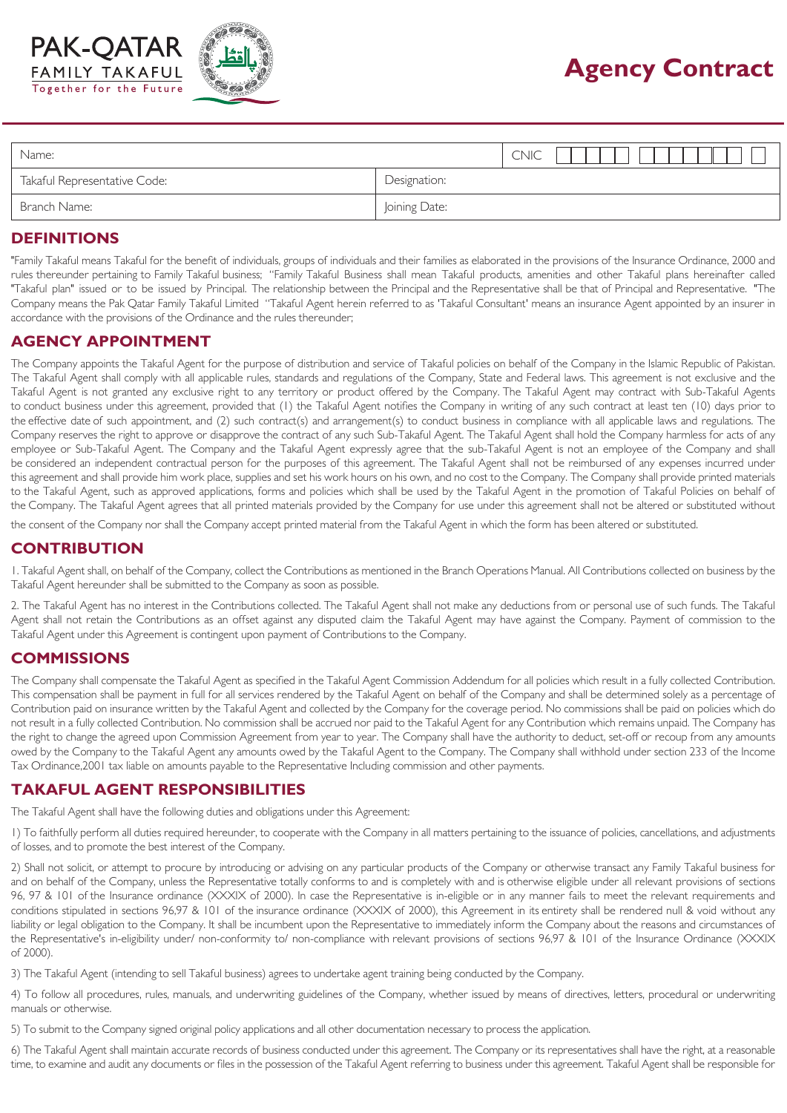



# **Agency Contract**

| Name:                        |               | <b>CNIC</b> |
|------------------------------|---------------|-------------|
| Takaful Representative Code: | Designation:  |             |
| Branch Name:                 | Joining Date: |             |

# **DEFINITIONS**

"Family Takaful means Takaful for the benefit of individuals, groups of individuals and their families as elaborated in the provisions of the Insurance Ordinance, 2000 and rules thereunder pertaining to Family Takaful business; "Family Takaful Business shall mean Takaful products, amenities and other Takaful plans hereinafter called "Takaful plan" issued or to be issued by Principal. The relationship between the Principal and the Representative shall be that of Principal and Representative. "The Company means the Pak Qatar Family Takaful Limited "Takaful Agent herein referred to as 'Takaful Consultant' means an insurance Agent appointed by an insurer in accordance with the provisions of the Ordinance and the rules thereunder;

#### **AGENCY APPOINTMENT**

The Company appoints the Takaful Agent for the purpose of distribution and service of Takaful policies on behalf of the Company in the Islamic Republic of Pakistan. The Takaful Agent shall comply with all applicable rules, standards and regulations of the Company, State and Federal laws. This agreement is not exclusive and the Takaful Agent is not granted any exclusive right to any territory or product offered by the Company. The Takaful Agent may contract with Sub-Takaful Agents to conduct business under this agreement, provided that (1) the Takaful Agent notifies the Company in writing of any such contract at least ten (10) days prior to the effective date of such appointment, and (2) such contract(s) and arrangement(s) to conduct business in compliance with all applicable laws and regulations. The Company reserves the right to approve or disapprove the contract of any such Sub-Takaful Agent. The Takaful Agent shall hold the Company harmless for acts of any employee or Sub-Takaful Agent. The Company and the Takaful Agent expressly agree that the sub-Takaful Agent is not an employee of the Company and shall be considered an independent contractual person for the purposes of this agreement. The Takaful Agent shall not be reimbursed of any expenses incurred under this agreement and shall provide him work place, supplies and set his work hours on his own, and no cost to the Company. The Company shall provide printed materials to the Takaful Agent, such as approved applications, forms and policies which shall be used by the Takaful Agent in the promotion of Takaful Policies on behalf of the Company. The Takaful Agent agrees that all printed materials provided by the Company for use under this agreement shall not be altered or substituted without

the consent of the Company nor shall the Company accept printed material from the Takaful Agent in which the form has been altered or substituted.

# **CONTRIBUTION**

1. Takaful Agent shall, on behalf of the Company, collect the Contributions as mentioned in the Branch Operations Manual. All Contributions collected on business by the Takaful Agent hereunder shall be submitted to the Company as soon as possible.

2. The Takaful Agent has no interest in the Contributions collected. The Takaful Agent shall not make any deductions from or personal use of such funds. The Takaful Agent shall not retain the Contributions as an offset against any disputed claim the Takaful Agent may have against the Company. Payment of commission to the Takaful Agent under this Agreement is contingent upon payment of Contributions to the Company.

#### **COMMISSIONS**

The Company shall compensate the Takaful Agent as specified in the Takaful Agent Commission Addendum for all policies which result in a fully collected Contribution. This compensation shall be payment in full for all services rendered by the Takaful Agent on behalf of the Company and shall be determined solely as a percentage of Contribution paid on insurance written by the Takaful Agent and collected by the Company for the coverage period. No commissions shall be paid on policies which do not result in a fully collected Contribution. No commission shall be accrued nor paid to the Takaful Agent for any Contribution which remains unpaid. The Company has the right to change the agreed upon Commission Agreement from year to year. The Company shall have the authority to deduct, set-off or recoup from any amounts owed by the Company to the Takaful Agent any amounts owed by the Takaful Agent to the Company. The Company shall withhold under section 233 of the Income Tax Ordinance,2001 tax liable on amounts payable to the Representative Including commission and other payments.

# **TAKAFUL AGENT RESPONSIBILITIES**

The Takaful Agent shall have the following duties and obligations under this Agreement:

1) To faithfully perform all duties required hereunder, to cooperate with the Company in all matters pertaining to the issuance of policies, cancellations, and adjustments of losses, and to promote the best interest of the Company.

2) Shall not solicit, or attempt to procure by introducing or advising on any particular products of the Company or otherwise transact any Family Takaful business for and on behalf of the Company, unless the Representative totally conforms to and is completely with and is otherwise eligible under all relevant provisions of sections 96, 97 & 101 of the Insurance ordinance (XXXIX of 2000). In case the Representative is in-eligible or in any manner fails to meet the relevant requirements and conditions stipulated in sections 96,97 & 101 of the insurance ordinance (XXXIX of 2000), this Agreement in its entirety shall be rendered null & void without any liability or legal obligation to the Company. It shall be incumbent upon the Representative to immediately inform the Company about the reasons and circumstances of the Representative's in-eligibility under/ non-conformity to/ non-compliance with relevant provisions of sections 96,97 & 101 of the Insurance Ordinance (XXXIX of 2000).

3) The Takaful Agent (intending to sell Takaful business) agrees to undertake agent training being conducted by the Company.

4) To follow all procedures, rules, manuals, and underwriting guidelines of the Company, whether issued by means of directives, letters, procedural or underwriting manuals or otherwise.

5) To submit to the Company signed original policy applications and all other documentation necessary to process the application.

6) The Takaful Agent shall maintain accurate records of business conducted under this agreement. The Company or its representatives shall have the right, at a reasonable time, to examine and audit any documents or files in the possession of the Takaful Agent referring to business under this agreement. Takaful Agent shall be responsible for